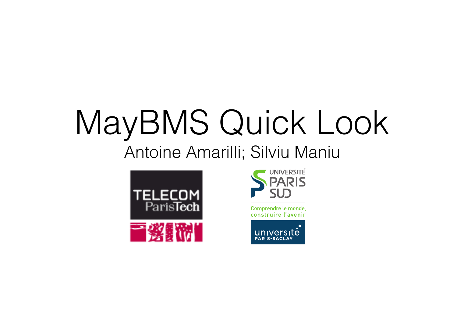# MayBMS Quick Look

Antoine Amarilli; Silviu Maniu





Comprendre le monde, construire l'avenir

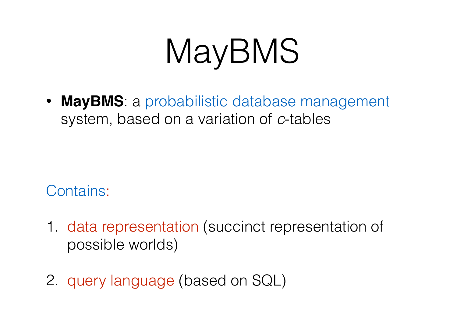### MayBMS

**MayBMS**: a probabilistic database management system, based on a variation of *c*-tables

Contains:

- 1. data representation (succinct representation of possible worlds)
- 2. query language (based on SQL)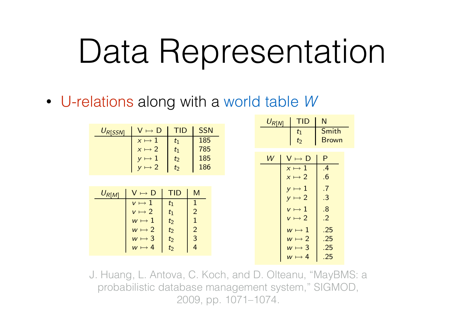#### Data Representation

• U-relations along with a world table *W* 

| $U_{R[SSN]}$ | $V \mapsto D$   | <b>TID</b> | <b>SSN</b> |
|--------------|-----------------|------------|------------|
|              | $x \mapsto 1$   | t1         | 185        |
|              | $x \mapsto 2$   | t1         | 785        |
|              |                 | $t_2$      | 185        |
|              | $\rightarrow 2$ | $t_2$      | 186        |

| $U_{R[M]}$ | $V \mapsto D$ | TID   | M              |
|------------|---------------|-------|----------------|
|            | $v \mapsto 1$ | $t_1$ |                |
|            | $v \mapsto 2$ | $t_1$ | $\overline{2}$ |
|            | $w \mapsto 1$ | $t_2$ |                |
|            | $w \mapsto 2$ | $t_2$ | 2              |
|            | $w \mapsto 3$ | $t_2$ | 3              |
|            | $w \mapsto 4$ | $t_2$ |                |
|            |               |       |                |

| $U_{R[N]}$ | TID                            | N                     |
|------------|--------------------------------|-----------------------|
|            | $t_{1}$<br>t <sub>2</sub>      | Smith<br><b>Brown</b> |
| W          | $V \mapsto D$                  | Ρ                     |
|            | $x \mapsto 1$<br>$x \mapsto 2$ | .4<br>.6              |
|            | $y \mapsto 1$                  | .7                    |
|            | $y \mapsto 2$                  | .3                    |
|            | $v\mapsto 1$                   | $\overline{8}$        |
|            | $v \mapsto 2$                  | $\cdot$ .2            |
|            | $w \mapsto 1$<br>$w \mapsto 2$ | .25<br>.25            |
|            | $w \mapsto 3$                  | .25                   |
|            | $w \mapsto 4$                  | .25                   |

J. Huang, L. Antova, C. Koch, and D. Olteanu, "MayBMS: a probabilistic database management system," SIGMOD, 2009, pp. 1071–1074.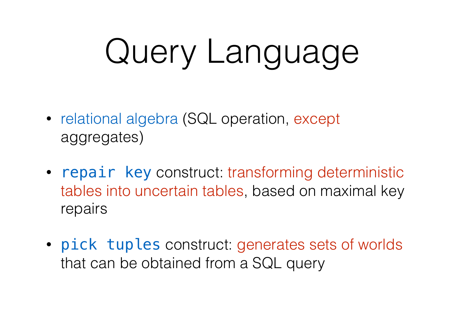## Query Language

- relational algebra (SQL operation, except aggregates)
- repair key construct: transforming deterministic tables into uncertain tables, based on maximal key repairs
- pick tuples construct: generates sets of worlds that can be obtained from a SQL query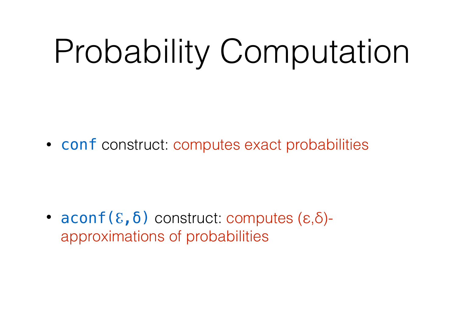### Probability Computation

• conf construct: computes exact probabilities

•  $a$ conf( $\epsilon$ ,  $\delta$ ) construct: computes ( $\epsilon$ , $\delta$ )approximations of probabilities